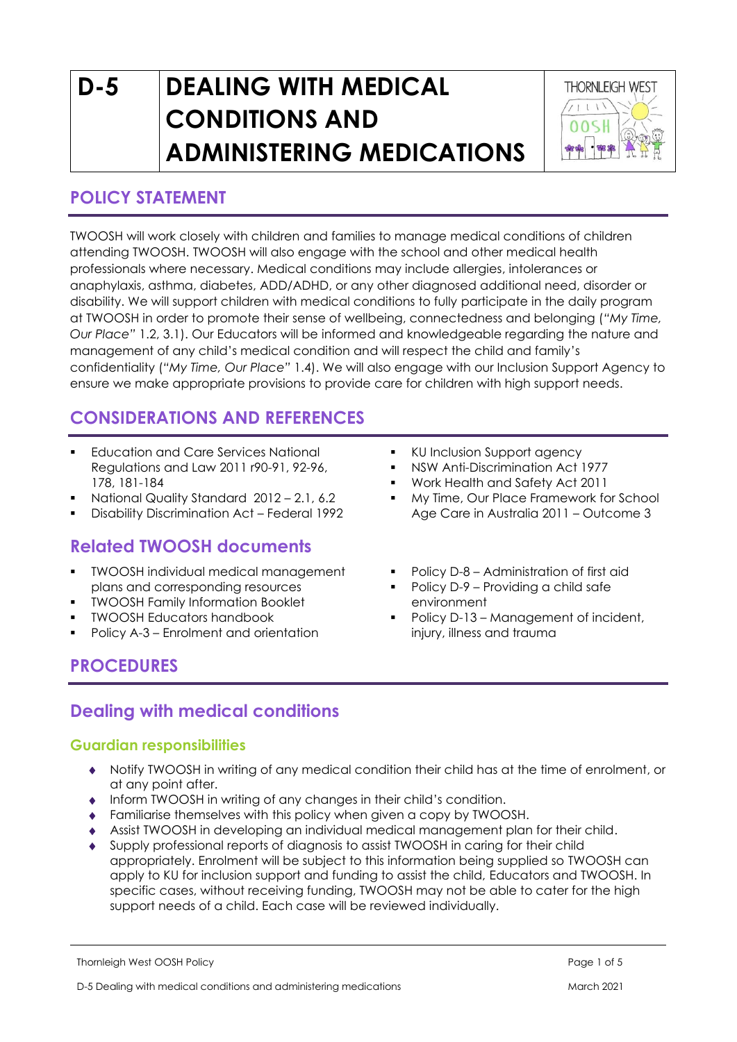# **D-5 DEALING WITH MEDICAL CONDITIONS AND ADMINISTERING MEDICATIONS**



## **POLICY STATEMENT**

TWOOSH will work closely with children and families to manage medical conditions of children attending TWOOSH. TWOOSH will also engage with the school and other medical health professionals where necessary. Medical conditions may include allergies, intolerances or anaphylaxis, asthma, diabetes, ADD/ADHD, or any other diagnosed additional need, disorder or disability. We will support children with medical conditions to fully participate in the daily program at TWOOSH in order to promote their sense of wellbeing, connectedness and belonging (*"My Time, Our Place"* 1.2, 3.1). Our Educators will be informed and knowledgeable regarding the nature and management of any child's medical condition and will respect the child and family's confidentiality (*"My Time, Our Place"* 1.4). We will also engage with our Inclusion Support Agency to ensure we make appropriate provisions to provide care for children with high support needs.

# **CONSIDERATIONS AND REFERENCES**

- **•** Education and Care Services National Regulations and Law 2011 r90-91, 92-96, 178, 181-184
- National Quality Standard 2012 2.1, 6.2
- Disability Discrimination Act Federal 1992

## **Related TWOOSH documents**

- **TWOOSH individual medical management** plans and corresponding resources
- TWOOSH Family Information Booklet
- TWOOSH Educators handbook
- Policy A-3 Enrolment and orientation
- KU Inclusion Support agency
- **NSW Anti-Discrimination Act 1977**
- Work Health and Safety Act 2011
- My Time, Our Place Framework for School Age Care in Australia 2011 – Outcome 3
- Policy D-8 Administration of first aid
- Policy D-9 Providing a child safe environment
- Policy D-13 Management of incident, injury, illness and trauma

# **PROCEDURES**

## **Dealing with medical conditions**

#### **Guardian responsibilities**

- Notify TWOOSH in writing of any medical condition their child has at the time of enrolment, or at any point after.
- Inform TWOOSH in writing of any changes in their child's condition.
- Familiarise themselves with this policy when given a copy by TWOOSH.
- Assist TWOOSH in developing an individual medical management plan for their child.
- Supply professional reports of diagnosis to assist TWOOSH in caring for their child appropriately. Enrolment will be subject to this information being supplied so TWOOSH can apply to KU for inclusion support and funding to assist the child, Educators and TWOOSH. In specific cases, without receiving funding, TWOOSH may not be able to cater for the high support needs of a child. Each case will be reviewed individually.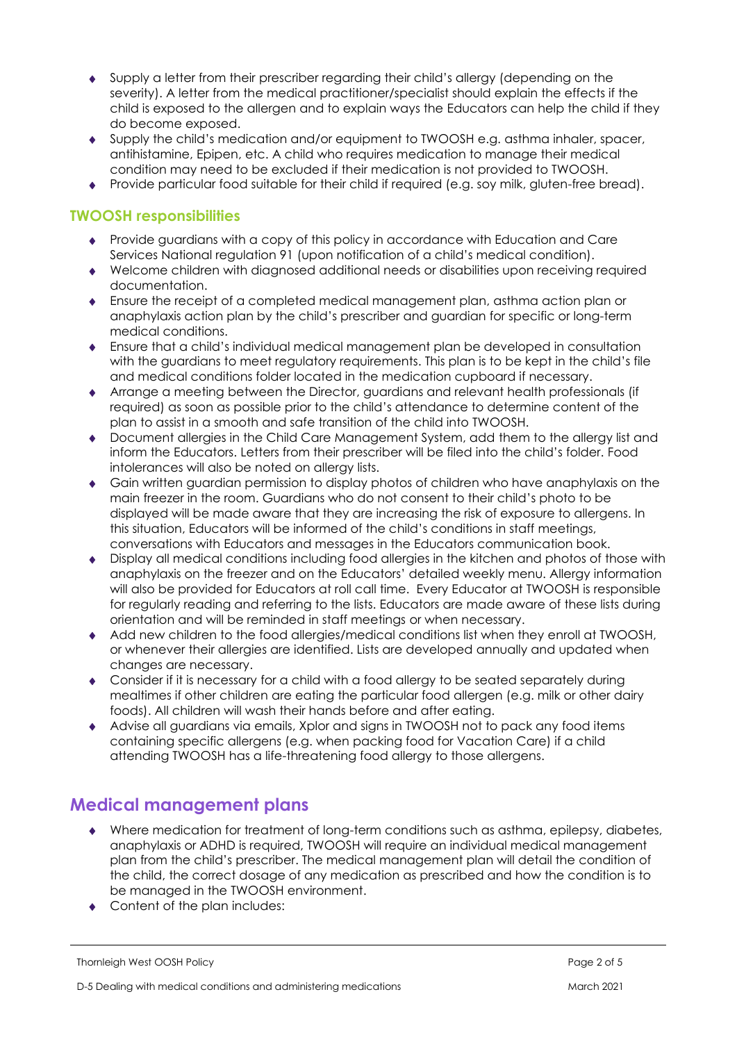- Supply a letter from their prescriber regarding their child's allergy (depending on the severity). A letter from the medical practitioner/specialist should explain the effects if the child is exposed to the allergen and to explain ways the Educators can help the child if they do become exposed.
- Supply the child's medication and/or equipment to TWOOSH e.g. asthma inhaler, spacer, antihistamine, Epipen, etc. A child who requires medication to manage their medical condition may need to be excluded if their medication is not provided to TWOOSH.
- Provide particular food suitable for their child if required (e.g. soy milk, gluten-free bread).

## **TWOOSH responsibilities**

- Provide guardians with a copy of this policy in accordance with Education and Care Services National regulation 91 (upon notification of a child's medical condition).
- Welcome children with diagnosed additional needs or disabilities upon receiving required documentation.
- Ensure the receipt of a completed medical management plan, asthma action plan or anaphylaxis action plan by the child's prescriber and guardian for specific or long-term medical conditions.
- Ensure that a child's individual medical management plan be developed in consultation with the guardians to meet regulatory requirements. This plan is to be kept in the child's file and medical conditions folder located in the medication cupboard if necessary.
- Arrange a meeting between the Director, guardians and relevant health professionals (if required) as soon as possible prior to the child's attendance to determine content of the plan to assist in a smooth and safe transition of the child into TWOOSH.
- Document allergies in the Child Care Management System, add them to the allergy list and inform the Educators. Letters from their prescriber will be filed into the child's folder. Food intolerances will also be noted on allergy lists.
- Gain written guardian permission to display photos of children who have anaphylaxis on the main freezer in the room. Guardians who do not consent to their child's photo to be displayed will be made aware that they are increasing the risk of exposure to allergens. In this situation, Educators will be informed of the child's conditions in staff meetings, conversations with Educators and messages in the Educators communication book.
- Display all medical conditions including food allergies in the kitchen and photos of those with anaphylaxis on the freezer and on the Educators' detailed weekly menu. Allergy information will also be provided for Educators at roll call time. Every Educator at TWOOSH is responsible for regularly reading and referring to the lists. Educators are made aware of these lists during orientation and will be reminded in staff meetings or when necessary.
- Add new children to the food allergies/medical conditions list when they enroll at TWOOSH, or whenever their allergies are identified. Lists are developed annually and updated when changes are necessary.
- Consider if it is necessary for a child with a food allergy to be seated separately during mealtimes if other children are eating the particular food allergen (e.g. milk or other dairy foods). All children will wash their hands before and after eating.
- Advise all guardians via emails, Xplor and signs in TWOOSH not to pack any food items containing specific allergens (e.g. when packing food for Vacation Care) if a child attending TWOOSH has a life-threatening food allergy to those allergens.

# **Medical management plans**

- Where medication for treatment of long-term conditions such as asthma, epilepsy, diabetes, anaphylaxis or ADHD is required, TWOOSH will require an individual medical management plan from the child's prescriber. The medical management plan will detail the condition of the child, the correct dosage of any medication as prescribed and how the condition is to be managed in the TWOOSH environment.
- ◆ Content of the plan includes: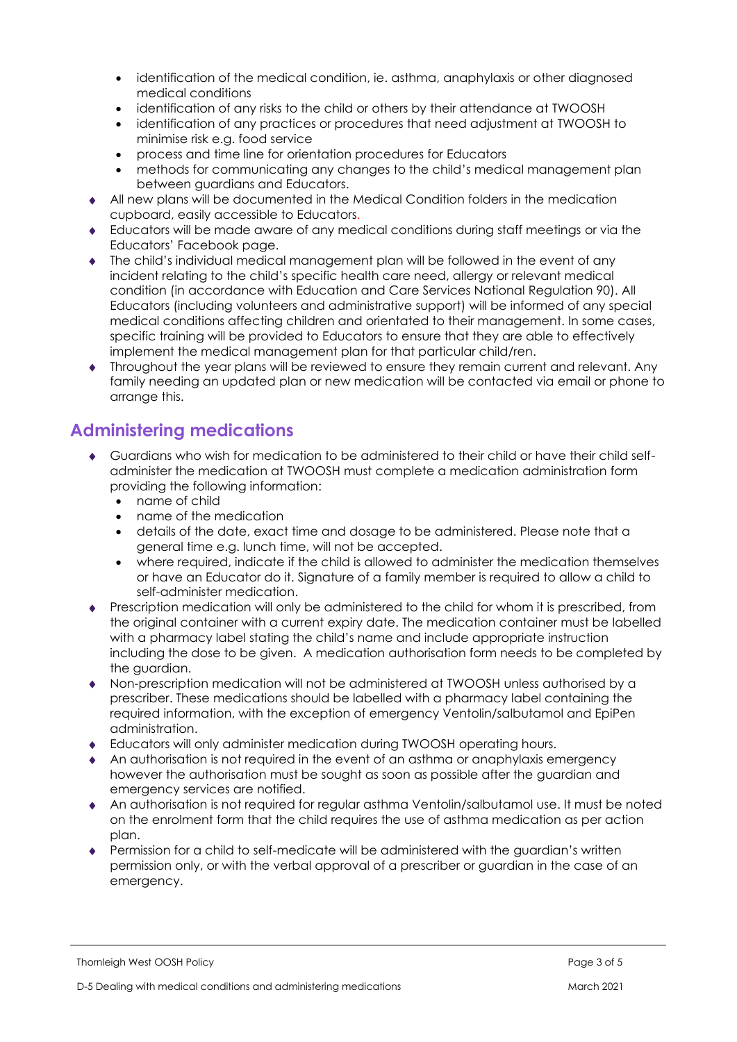- identification of the medical condition, ie. asthma, anaphylaxis or other diagnosed medical conditions
- identification of any risks to the child or others by their attendance at TWOOSH
- identification of any practices or procedures that need adjustment at TWOOSH to minimise risk e.g. food service
- process and time line for orientation procedures for Educators
- methods for communicating any changes to the child's medical management plan between guardians and Educators.
- All new plans will be documented in the Medical Condition folders in the medication cupboard, easily accessible to Educators.
- Educators will be made aware of any medical conditions during staff meetings or via the Educators' Facebook page.
- The child's individual medical management plan will be followed in the event of any incident relating to the child's specific health care need, allergy or relevant medical condition (in accordance with Education and Care Services National Regulation 90). All Educators (including volunteers and administrative support) will be informed of any special medical conditions affecting children and orientated to their management. In some cases, specific training will be provided to Educators to ensure that they are able to effectively implement the medical management plan for that particular child/ren.
- Throughout the year plans will be reviewed to ensure they remain current and relevant. Any family needing an updated plan or new medication will be contacted via email or phone to arrange this.

## **Administering medications**

- Guardians who wish for medication to be administered to their child or have their child selfadminister the medication at TWOOSH must complete a medication administration form providing the following information:
	- name of child
	- name of the medication
	- details of the date, exact time and dosage to be administered. Please note that a general time e.g. lunch time, will not be accepted.
	- where required, indicate if the child is allowed to administer the medication themselves or have an Educator do it. Signature of a family member is required to allow a child to self-administer medication.
- Prescription medication will only be administered to the child for whom it is prescribed, from the original container with a current expiry date. The medication container must be labelled with a pharmacy label stating the child's name and include appropriate instruction including the dose to be given. A medication authorisation form needs to be completed by the guardian.
- Non-prescription medication will not be administered at TWOOSH unless authorised by a prescriber. These medications should be labelled with a pharmacy label containing the required information, with the exception of emergency Ventolin/salbutamol and EpiPen administration.
- Educators will only administer medication during TWOOSH operating hours.
- An authorisation is not required in the event of an asthma or anaphylaxis emergency however the authorisation must be sought as soon as possible after the guardian and emergency services are notified.
- An authorisation is not required for regular asthma Ventolin/salbutamol use. It must be noted on the enrolment form that the child requires the use of asthma medication as per action plan.
- Permission for a child to self-medicate will be administered with the guardian's written permission only, or with the verbal approval of a prescriber or guardian in the case of an emergency.

Thornleigh West OOSH Policy Page 3 of 5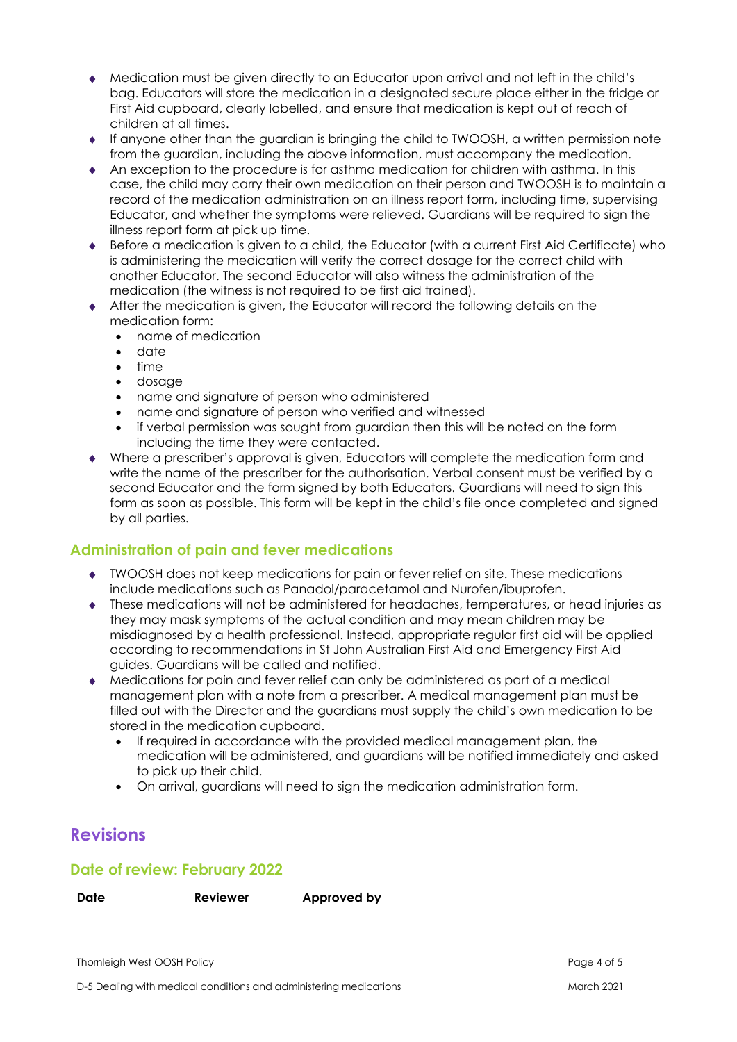- Medication must be given directly to an Educator upon arrival and not left in the child's bag. Educators will store the medication in a designated secure place either in the fridge or First Aid cupboard, clearly labelled, and ensure that medication is kept out of reach of children at all times.
- If anyone other than the guardian is bringing the child to TWOOSH, a written permission note from the guardian, including the above information, must accompany the medication.
- An exception to the procedure is for asthma medication for children with asthma. In this case, the child may carry their own medication on their person and TWOOSH is to maintain a record of the medication administration on an illness report form, including time, supervising Educator, and whether the symptoms were relieved. Guardians will be required to sign the illness report form at pick up time.
- Before a medication is given to a child, the Educator (with a current First Aid Certificate) who is administering the medication will verify the correct dosage for the correct child with another Educator. The second Educator will also witness the administration of the medication (the witness is not required to be first aid trained).
- After the medication is given, the Educator will record the following details on the medication form:
	- name of medication
	- date
	- time
	- dosage
	- name and signature of person who administered
	- name and signature of person who verified and witnessed
	- if verbal permission was sought from guardian then this will be noted on the form including the time they were contacted.
- Where a prescriber's approval is given, Educators will complete the medication form and write the name of the prescriber for the authorisation. Verbal consent must be verified by a second Educator and the form signed by both Educators. Guardians will need to sign this form as soon as possible. This form will be kept in the child's file once completed and signed by all parties.

### **Administration of pain and fever medications**

- TWOOSH does not keep medications for pain or fever relief on site. These medications include medications such as Panadol/paracetamol and Nurofen/ibuprofen.
- These medications will not be administered for headaches, temperatures, or head injuries as they may mask symptoms of the actual condition and may mean children may be misdiagnosed by a health professional. Instead, appropriate regular first aid will be applied according to recommendations in St John Australian First Aid and Emergency First Aid guides. Guardians will be called and notified.
- Medications for pain and fever relief can only be administered as part of a medical management plan with a note from a prescriber. A medical management plan must be filled out with the Director and the guardians must supply the child's own medication to be stored in the medication cupboard.
	- If required in accordance with the provided medical management plan, the medication will be administered, and guardians will be notified immediately and asked to pick up their child.
	- On arrival, guardians will need to sign the medication administration form.

## **Revisions**

#### **Date of review: February 2022**

| <b>Date</b> | Reviewer | Approved by |
|-------------|----------|-------------|
|             |          |             |

Thornleigh West OOSH Policy Page 4 of 5